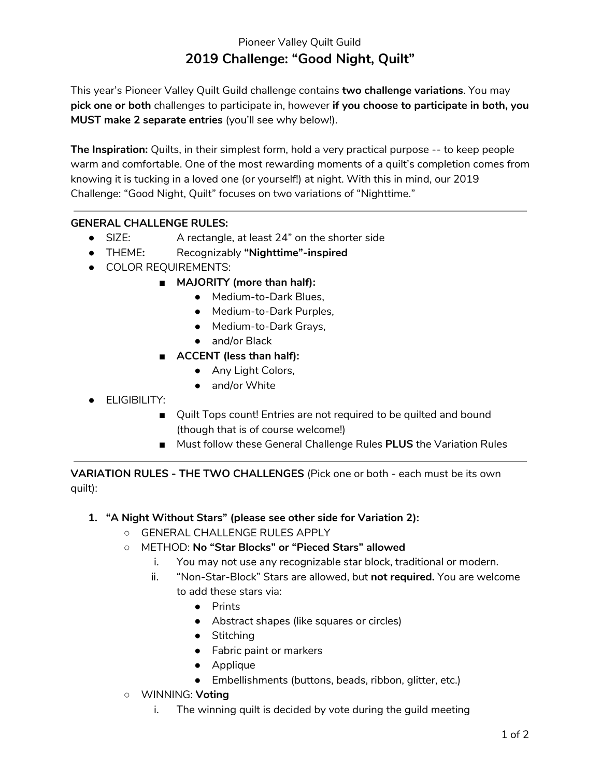# Pioneer Valley Quilt Guild **2019 Challenge: "Good Night, Quilt"**

This year's Pioneer Valley Quilt Guild challenge contains **two challenge variations**. You may **pick one or both** challenges to participate in, however **if you choose to participate in both, you MUST make 2 separate entries** (you'll see why below!).

**The Inspiration:** Quilts, in their simplest form, hold a very practical purpose -- to keep people warm and comfortable. One of the most rewarding moments of a quilt's completion comes from knowing it is tucking in a loved one (or yourself!) at night. With this in mind, our 2019 Challenge: "Good Night, Quilt" focuses on two variations of "Nighttime."

### **GENERAL CHALLENGE RULES:**

- SIZE: A rectangle, at least 24" on the shorter side
- **●** THEME**:** Recognizably **"Nighttime"-inspired**
- COLOR REQUIREMENTS:
	- **MAJORITY (more than half):**
		- Medium-to-Dark Blues,
		- Medium-to-Dark Purples,
		- Medium-to-Dark Grays,
		- and/or Black
	- **ACCENT (less than half):**
		- Any Light Colors,
		- and/or White
- ELIGIBILITY:
	- Quilt Tops count! Entries are not required to be quilted and bound (though that is of course welcome!)
	- Must follow these General Challenge Rules **PLUS** the Variation Rules

**VARIATION RULES - THE TWO CHALLENGES** (Pick one or both - each must be its own quilt):

## **1. "A Night Without Stars" (please see other side for Variation 2):**

- GENERAL CHALLENGE RULES APPLY
- METHOD: **No "Star Blocks" or "Pieced Stars" allowed**
	- i. You may not use any recognizable star block, traditional or modern.
	- ii. "Non-Star-Block" Stars are allowed, but **not required.** You are welcome to add these stars via:
		- Prints
		- Abstract shapes (like squares or circles)
		- Stitching
		- Fabric paint or markers
		- Applique
		- Embellishments (buttons, beads, ribbon, glitter, etc.)
- WINNING: **Voting**
	- i. The winning quilt is decided by vote during the guild meeting